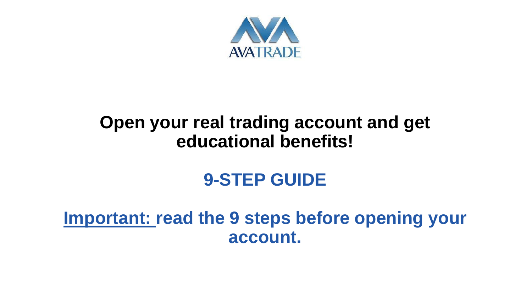

### **Open your real trading account and get educational benefits!**

## **9-STEP GUIDE**

**Important: read the 9 steps before opening your account.**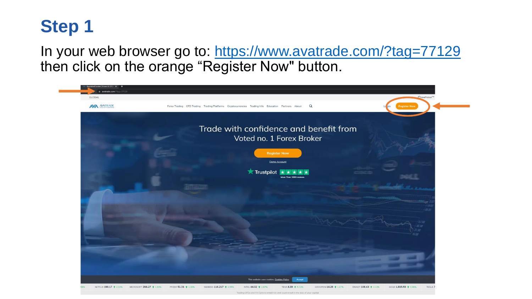

In your web browser go to:<https://www.avatrade.com/?tag=77129> then click on the orange "Register Now" button.

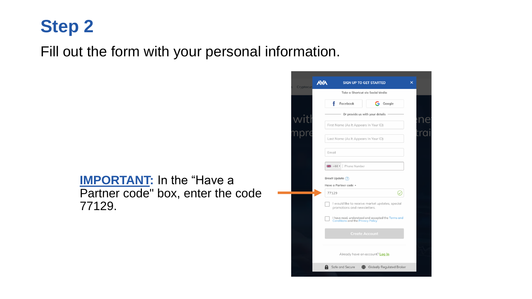#### Fill out the form with your personal information.

#### **IMPORTANT:** In the "Have a Partner code" box, enter the code 77129.

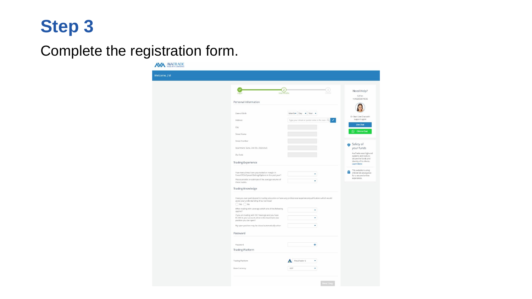### Complete the registration form.

**NYA AVATRADE** 

| Login                                       | $\overline{2}$<br>User Profile                                                                          |                                                                                                                |   | Need Help?<br>Call us:                          |
|---------------------------------------------|---------------------------------------------------------------------------------------------------------|----------------------------------------------------------------------------------------------------------------|---|-------------------------------------------------|
| Personal Information                        |                                                                                                         |                                                                                                                |   | +(44)2033074336                                 |
|                                             |                                                                                                         |                                                                                                                |   |                                                 |
| Date of Birth                               |                                                                                                         | Month Day $\bullet$ Year $\bullet$                                                                             |   | Or Start Live Chat with                         |
| Address                                     |                                                                                                         | Type your street or postal code in the searQ                                                                   | , | support agent                                   |
| City                                        |                                                                                                         |                                                                                                                |   | Live Chat                                       |
| Street Name                                 |                                                                                                         |                                                                                                                |   | C Click to Chat                                 |
| Street Number                               |                                                                                                         |                                                                                                                |   |                                                 |
| Apartment, Suite, Unit Etc. (Optional)      |                                                                                                         |                                                                                                                |   | Safety of<br>your funds                         |
| Zip Code                                    |                                                                                                         |                                                                                                                |   | AvaTrade uses high-end                          |
|                                             |                                                                                                         |                                                                                                                |   | systems and tools to<br>secure the funds and    |
| <b>Trading Experience</b>                   |                                                                                                         |                                                                                                                |   | identity of its clients.<br>Learn More          |
| How many times have you traded on margin in |                                                                                                         |                                                                                                                |   | This website is using<br>256-bit SSL encryption |
|                                             | Forex/CFDs/Spread Betting/Options in the past year?                                                     | ٠                                                                                                              |   | for a secured online<br>experience.             |
| those trades.                               | Please provide an estimate of the average volume of                                                     | ۰                                                                                                              |   |                                                 |
| <b>Trading Knowledge</b>                    |                                                                                                         |                                                                                                                |   |                                                 |
|                                             |                                                                                                         |                                                                                                                |   |                                                 |
| assist your understanding of our services?  |                                                                                                         | Have you ever participated in trading education or have any professional experience/qualifications which would |   |                                                 |
| $\bigcirc$ Yes $\bigcirc$ No                |                                                                                                         |                                                                                                                |   |                                                 |
| applies?                                    | When trading with Leverage which one of the following                                                   | ٠                                                                                                              |   |                                                 |
|                                             | If you are trading with 50:1 leverage and you have<br>\$1,000 in your account, what is the maximum-size | ٠                                                                                                              |   |                                                 |
| position you can open?                      |                                                                                                         | ٠                                                                                                              |   |                                                 |
|                                             | My open position may be closed automatically when                                                       |                                                                                                                |   |                                                 |
| Password                                    |                                                                                                         |                                                                                                                |   |                                                 |
|                                             |                                                                                                         |                                                                                                                |   |                                                 |
| Password                                    |                                                                                                         | $\circledcirc$                                                                                                 |   |                                                 |
| <b>Trading Platform</b>                     |                                                                                                         |                                                                                                                |   |                                                 |
|                                             |                                                                                                         | MetaTrader 5<br>٠                                                                                              |   |                                                 |
| <b>Trading Platform</b>                     |                                                                                                         |                                                                                                                |   |                                                 |
| <b>Base Currency</b>                        |                                                                                                         | GBP<br>۰                                                                                                       |   |                                                 |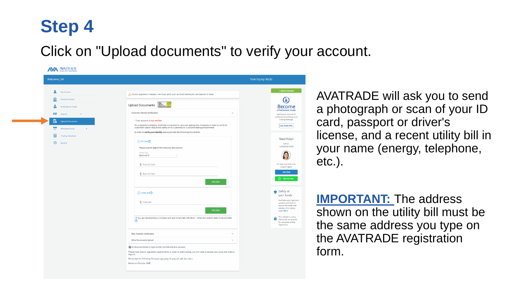#### Click on "Upload documents" to verify your account.

| Welcome, J M                   |                                                                                                                                                                                                | Total Equity: \$0.00                                                                   |
|--------------------------------|------------------------------------------------------------------------------------------------------------------------------------------------------------------------------------------------|----------------------------------------------------------------------------------------|
| My Account                     | Due to regulation changes - we must verify your account before you can deposit or trade.                                                                                                       | + Add an Account                                                                       |
| <b>Personal Details</b><br>Ω   |                                                                                                                                                                                                | Œ                                                                                      |
| Professional Trader            | Upload Documents Secure                                                                                                                                                                        | <b>Become</b>                                                                          |
| $\checkmark$<br>Deposit        | <b>Customer Identity Verification</b><br>$\widehat{\phantom{a}}$                                                                                                                               | a Professional Trader<br>Switch your account to                                        |
| <b>Upload Documents</b>        | * Your account is not verified                                                                                                                                                                 | professional and keep your<br>trading leverage.                                        |
| Withdraw Funds<br>$\checkmark$ | As a regulated company, AvaTrade is required to carry out appropriate measures in order to verify its<br>customers and to ensure the safety of its customers in a secured trading environment. | Get more info                                                                          |
| <b>Trading Calculator</b>      | In order to verify your identity please provide the following documents:                                                                                                                       |                                                                                        |
| My Info                        | $(1)$ ID Card $(2)$                                                                                                                                                                            | Need Help?<br>Call us:                                                                 |
|                                | Please submit one of the following documents                                                                                                                                                   | +(44)2033074336                                                                        |
|                                | Choose Type<br>National ID                                                                                                                                                                     |                                                                                        |
|                                | [i] Front ID Card                                                                                                                                                                              | Or Start Live Chat with                                                                |
|                                |                                                                                                                                                                                                | support agent<br><b>Live Chat</b>                                                      |
|                                | [i] Back ID Card                                                                                                                                                                               | C Click to Chat                                                                        |
|                                | <b>UPLOAD</b>                                                                                                                                                                                  |                                                                                        |
|                                | 2 Utility Bill                                                                                                                                                                                 | Safety of<br>your funds                                                                |
|                                | U Utility Bill                                                                                                                                                                                 | AvaTrade uses high-end<br>systems and tools to                                         |
|                                | <b>UPLOAD</b>                                                                                                                                                                                  | secure the funds and<br>identity of its clients.<br><b>Learn More</b>                  |
|                                | * If you are representing a company and are not private individual - other documents need to be provided<br>@                                                                                  | This website is using<br>256-bit SSL encryption<br>for a secured online<br>experience. |
|                                | Wire Transfer Verification<br>$\checkmark$                                                                                                                                                     |                                                                                        |
|                                | Other Documents Upload<br>$\checkmark$                                                                                                                                                         |                                                                                        |
|                                | All documentation is kept strictly confidential and secured.                                                                                                                                   |                                                                                        |
|                                | Please note: Due to regulation requirements, in order to start trading, you will need to upload your docs and make a<br>deposit.                                                               |                                                                                        |
|                                | We accept the following file types: jpg, jpeg, tif, png, gif, pdf, doc, docx                                                                                                                   |                                                                                        |

AVATRADE will ask you to send a photograph or scan of your ID card, passport or driver's license, and a recent utility bill in your name (energy, telephone, etc.).

**IMPORTANT:** The address shown on the utility bill must be the same address you type on the AVATRADE registration form.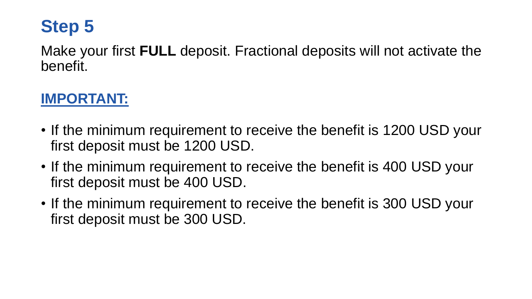Make your first **FULL** deposit. Fractional deposits will not activate the benefit.

#### **IMPORTANT:**

- If the minimum requirement to receive the benefit is 1200 USD your first deposit must be 1200 USD.
- If the minimum requirement to receive the benefit is 400 USD your first deposit must be 400 USD.
- If the minimum requirement to receive the benefit is 300 USD your first deposit must be 300 USD.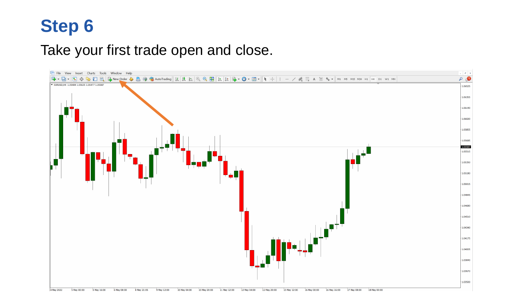#### Take your first trade open and close.

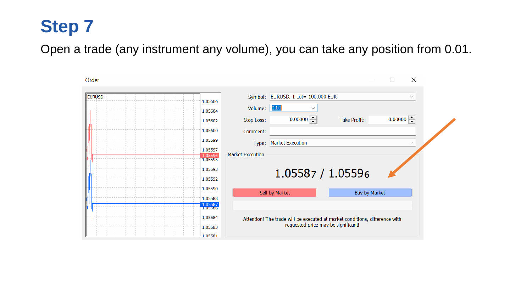Open a trade (any instrument any volume), you can take any position from 0.01.

| Order                         |                                                                                                                    |                                    |              |         | $\times$     |  |
|-------------------------------|--------------------------------------------------------------------------------------------------------------------|------------------------------------|--------------|---------|--------------|--|
| <b>EURUSD</b><br>1.05606      |                                                                                                                    | Symbol: EURUSD, 1 Lot= 100,000 EUR |              |         | $\checkmark$ |  |
| 1.05604                       | Volume:                                                                                                            | 0.01<br>$\checkmark$               |              |         |              |  |
| 1.05602                       | Stop Loss:                                                                                                         | 0.00000                            | Take Profit: | 0.00000 |              |  |
| 1.05600                       | Comment:                                                                                                           |                                    |              |         |              |  |
| 1.05599                       | Type:                                                                                                              | <b>Market Execution</b>            |              |         | $\checkmark$ |  |
| 1.05597<br>1.05596<br>1.05595 | <b>Market Execution</b>                                                                                            |                                    |              |         |              |  |
| 1.05593                       |                                                                                                                    | 1.05587 / 1.05596                  |              |         |              |  |
| 1.05592                       |                                                                                                                    |                                    |              |         |              |  |
| 1.05590                       | Sell by Market<br>Buy by Market                                                                                    |                                    |              |         |              |  |
| 1.05588<br>1.05587            |                                                                                                                    |                                    |              |         |              |  |
| 1.05586                       |                                                                                                                    |                                    |              |         |              |  |
| 1.05584                       | Attention! The trade will be executed at market conditions, difference with<br>requested price may be significant! |                                    |              |         |              |  |
| 1.05583                       |                                                                                                                    |                                    |              |         |              |  |
| 105581                        |                                                                                                                    |                                    |              |         |              |  |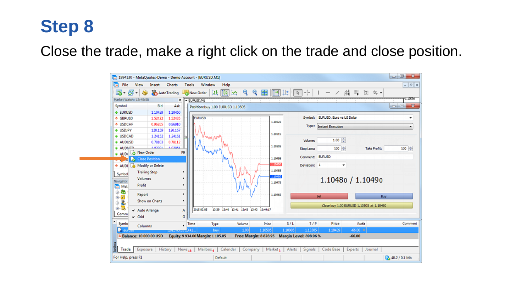Close the trade, make a right click on the trade and close position.